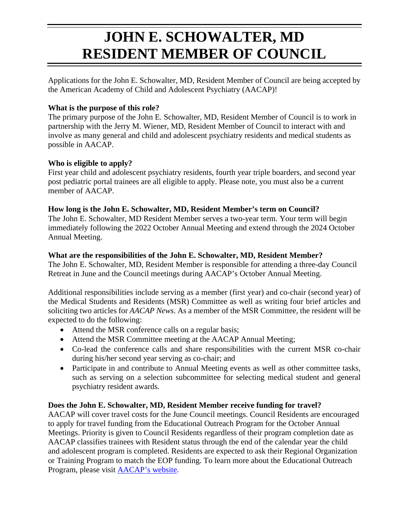# **JOHN E. SCHOWALTER, MD RESIDENT MEMBER OF COUNCIL**

Applications for the John E. Schowalter, MD, Resident Member of Council are being accepted by the American Academy of Child and Adolescent Psychiatry (AACAP)!

## **What is the purpose of this role?**

The primary purpose of the John E. Schowalter, MD, Resident Member of Council is to work in partnership with the Jerry M. Wiener, MD, Resident Member of Council to interact with and involve as many general and child and adolescent psychiatry residents and medical students as possible in AACAP.

### **Who is eligible to apply?**

First year child and adolescent psychiatry residents, fourth year triple boarders, and second year post pediatric portal trainees are all eligible to apply. Please note, you must also be a current member of AACAP.

#### **How long is the John E. Schowalter, MD, Resident Member's term on Council?**

The John E. Schowalter, MD Resident Member serves a two-year term. Your term will begin immediately following the 2022 October Annual Meeting and extend through the 2024 October Annual Meeting.

### **What are the responsibilities of the John E. Schowalter, MD, Resident Member?**

The John E. Schowalter, MD, Resident Member is responsible for attending a three-day Council Retreat in June and the Council meetings during AACAP's October Annual Meeting.

Additional responsibilities include serving as a member (first year) and co-chair (second year) of the Medical Students and Residents (MSR) Committee as well as writing four brief articles and soliciting two articles for *AACAP News*. As a member of the MSR Committee, the resident will be expected to do the following:

- Attend the MSR conference calls on a regular basis;
- Attend the MSR Committee meeting at the AACAP Annual Meeting;
- Co-lead the conference calls and share responsibilities with the current MSR co-chair during his/her second year serving as co-chair; and
- Participate in and contribute to Annual Meeting events as well as other committee tasks, such as serving on a selection subcommittee for selecting medical student and general psychiatry resident awards.

## **Does the John E. Schowalter, MD, Resident Member receive funding for travel?**

AACAP will cover travel costs for the June Council meetings. Council Residents are encouraged to apply for travel funding from the Educational Outreach Program for the October Annual Meetings. Priority is given to Council Residents regardless of their program completion date as AACAP classifies trainees with Resident status through the end of the calendar year the child and adolescent program is completed. Residents are expected to ask their Regional Organization or Training Program to match the EOP funding. To learn more about the Educational Outreach Program, please visit [AACAP's website.](https://www.aacap.org/AACAP/Awards/Resident_and_ECP_Awards/AACAP_Educational_Outreach_Program_for_CAP_Residents.aspx)